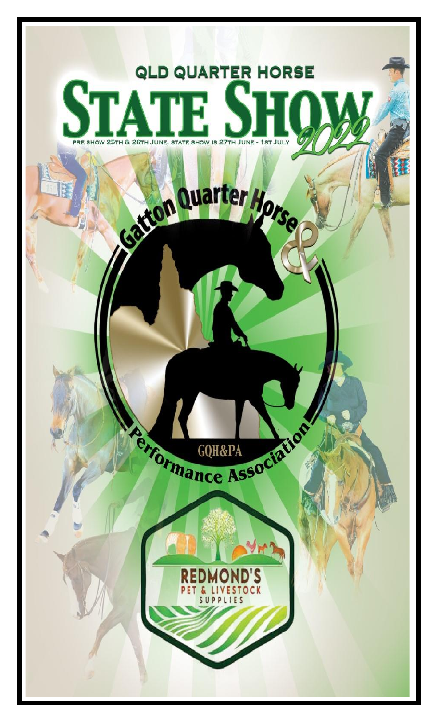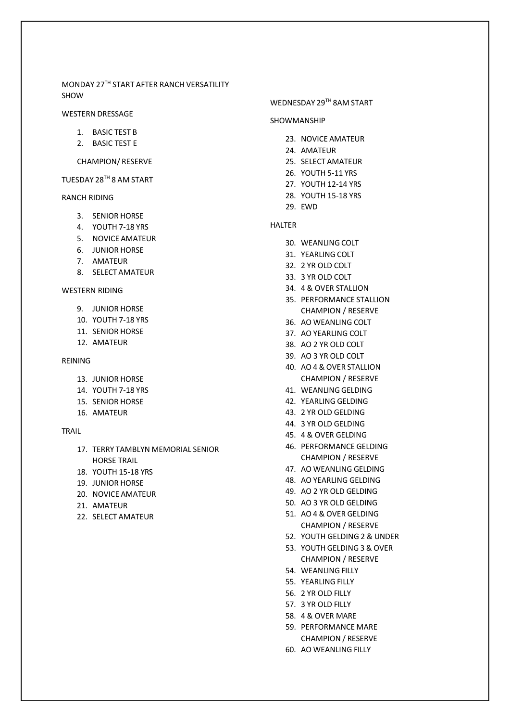MONDAY 27TH START AFTER RANCH VERSATILITY SHOW

#### WESTERN DRESSAGE

- 1. BASIC TEST B
- 2. BASIC TEST E

#### CHAMPION/ RESERVE

TUESDAY 28TH 8 AM START

### RANCH RIDING

- 3. SENIOR HORSE
- 4. YOUTH 7-18 YRS
- 5. NOVICE AMATEUR
- 6. JUNIOR HORSE
- 7. AMATEUR
- 8. SELECT AMATEUR

#### WESTERN RIDING

- 9. JUNIOR HORSE
- 10. YOUTH 7-18 YRS
- 11. SENIOR HORSE
- 12. AMATEUR

#### REINING

- 13. JUNIOR HORSE
- 14. YOUTH 7-18 YRS
- 15. SENIOR HORSE
- 16. AMATEUR

# TRAIL

- 17. TERRY TAMBLYN MEMORIAL SENIOR HORSE TRAIL
- 18. YOUTH 15-18 YRS
- 19. JUNIOR HORSE
- 20. NOVICE AMATEUR
- 21. AMATEUR
- 22. SELECT AMATEUR

## WEDNESDAY 29TH 8AM START

#### SHOWMANSHIP

- 23. NOVICE AMATEUR
- 24. AMATEUR
- 25. SELECT AMATEUR
- 26. YOUTH 5-11 YRS
- 27. YOUTH 12-14 YRS
- 28. YOUTH 15-18 YRS
- 29. EWD

## HALTER

- 30. WEANLING COLT
- 31. YEARLING COLT
- 32. 2 YR OLD COLT
- 33. 3 YR OLD COLT
- 34. 4 & OVER STALLION
- 35. PERFORMANCE STALLION CHAMPION / RESERVE
- 36. AO WEANLING COLT
- 37. AO YEARLING COLT
- 38. AO 2 YR OLD COLT
- 39. AO 3 YR OLD COLT
- 40. AO 4 & OVER STALLION CHAMPION / RESERVE
- 41. WEANLING GELDING
- 42. YEARLING GELDING
- 43. 2 YR OLD GELDING
- 44. 3 YR OLD GELDING
- 45. 4 & OVER GELDING
- 46. PERFORMANCE GELDING CHAMPION / RESERVE
- 47. AO WEANLING GELDING
- 48. AO YEARLING GELDING
- 49. AO 2 YR OLD GELDING
- 50. AO 3 YR OLD GELDING
- 51. AO 4 & OVER GELDING CHAMPION / RESERVE
- 52. YOUTH GELDING 2 & UNDER
- 53. YOUTH GELDING 3 & OVER CHAMPION / RESERVE
- 54. WEANLING FILLY
- 55. YEARLING FILLY
- 56. 2 YR OLD FILLY
- 57. 3 YR OLD FILLY
- 58. 4 & OVER MARE
- 59. PERFORMANCE MARE CHAMPION / RESERVE
- 60. AO WEANLING FILLY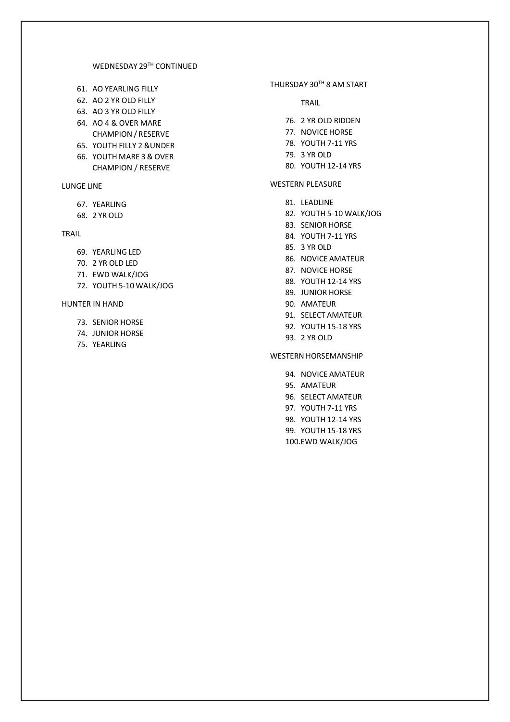# WEDNESDAY 29TH CONTINUED

- 61. AO YEARLING FILLY
- 62. AO 2 YR OLD FILLY
- 63. AO 3 YR OLD FILLY
- 64. AO 4 & OVER MARE CHAMPION / RESERVE
- 65. YOUTH FILLY 2 &UNDER
- 66. YOUTH MARE 3& OVER CHAMPION / RESERVE

# LUNGE LINE

- 67. YEARLING
- 68. 2 YR OLD

# TRAIL

- 69. YEARLING LED
- 70. 2 YR OLD LED
- 71. EWD WALK/JOG
- 72. YOUTH 5-10 WALK/JOG

## HUNTER IN HAND

- 73. SENIOR HORSE
- 74. JUNIOR HORSE
- 75. YEARLING

# THURSDAY 30TH 8 AM START

#### TRAIL

- 76. 2 YR OLD RIDDEN
- 77. NOVICE HORSE
- 78. YOUTH 7-11 YRS
- 79. 3 YR OLD
- 80. YOUTH 12-14 YRS

# WESTERN PLEASURE

- 81. LEADLINE
- 82. YOUTH 5-10 WALK/JOG
- 83. SENIOR HORSE
- 84. YOUTH 7-11 YRS
- 85. 3 YR OLD
- 86. NOVICE AMATEUR
- 87. NOVICE HORSE
- 88. YOUTH 12-14 YRS
- 89. JUNIOR HORSE
- 90. AMATEUR
- 91. SELECT AMATEUR
- 92. YOUTH 15-18 YRS
- 93. 2 YR OLD

## WESTERN HORSEMANSHIP

- 94. NOVICE AMATEUR
- 95. AMATEUR
- 96. SELECT AMATEUR
- 97. YOUTH 7-11 YRS
- 98. YOUTH 12-14 YRS
- 99. YOUTH 15-18 YRS
- 100.EWD WALK/JOG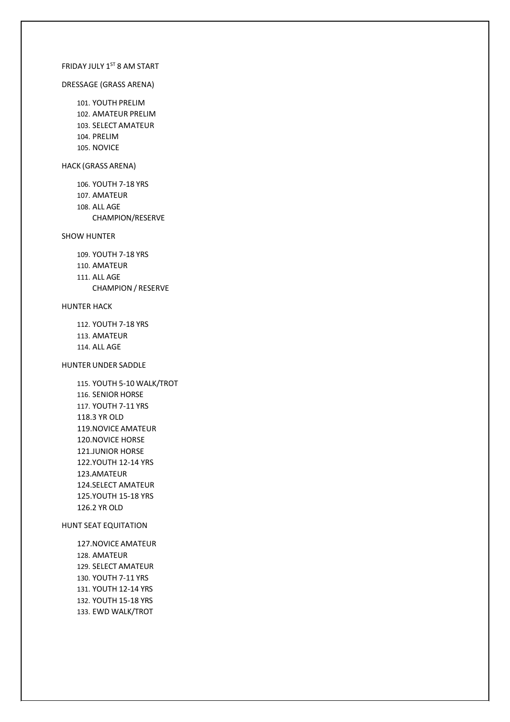# FRIDAY JULY 1ST 8 AM START

#### DRESSAGE (GRASS ARENA)

101. YOUTH PRELIM 102. AMATEUR PRELIM 103. SELECT AMATEUR 104. PRELIM 105. NOVICE

#### HACK (GRASS ARENA)

106. YOUTH 7-18 YRS 107. AMATEUR 108. ALL AGE CHAMPION/RESERVE

## SHOW HUNTER

109. YOUTH 7-18 YRS 110. AMATEUR 111. ALL AGE CHAMPION / RESERVE

# HUNTER HACK

112. YOUTH 7-18 YRS

- 113. AMATEUR
- 114. ALL AGE

### HUNTER UNDER SADDLE

115. YOUTH 5-10 WALK/TROT 116. SENIOR HORSE 117. YOUTH 7-11 YRS 118.3 YR OLD 119.NOVICE AMATEUR 120.NOVICE HORSE 121.JUNIOR HORSE 122.YOUTH 12-14 YRS 123.AMATEUR 124.SELECT AMATEUR 125.YOUTH 15-18 YRS 126.2 YR OLD

HUNT SEAT EQUITATION

127.NOVICE AMATEUR 128. AMATEUR 129. SELECT AMATEUR 130. YOUTH 7-11 YRS 131. YOUTH 12-14 YRS 132. YOUTH 15-18 YRS 133. EWD WALK/TROT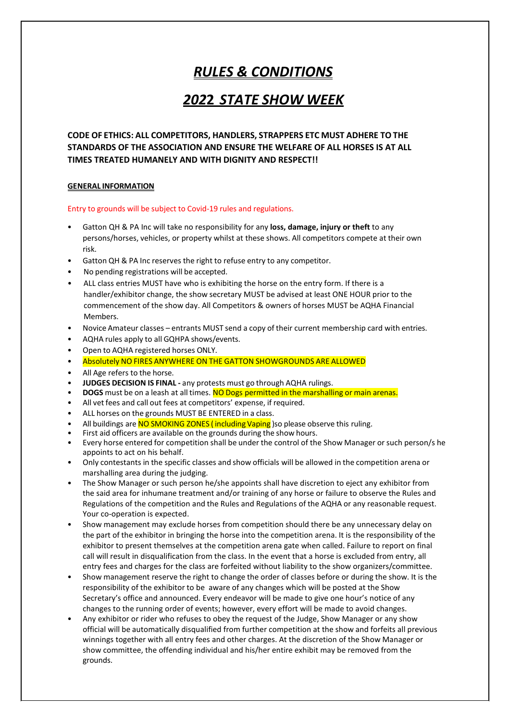# *RULES & CONDITIONS*

# *202***2** *STATE SHOW WEEK*

**CODE OF ETHICS: ALL COMPETITORS, HANDLERS, STRAPPERS ETC MUST ADHERE TO THE STANDARDS OF THE ASSOCIATION AND ENSURE THE WELFARE OF ALL HORSES IS AT ALL TIMES TREATED HUMANELY AND WITH DIGNITY AND RESPECT!!**

# **GENERAL INFORMATION**

#### Entry to grounds will be subject to Covid-19 rules and regulations.

- Gatton QH & PA Inc will take no responsibility for any **loss, damage, injury or theft** to any persons/horses, vehicles, or property whilst at these shows. All competitors compete at their own risk.
- Gatton QH & PA Inc reserves the right to refuse entry to any competitor.
- No pending registrations will be accepted.
- ALL class entries MUST have who is exhibiting the horse on the entry form. If there is a handler/exhibitor change, the show secretary MUST be advised at least ONE HOUR prior to the commencement of the show day. All Competitors & owners of horses MUST be AQHA Financial Members.
- Novice Amateur classes entrants MUST send a copy of their current membership card with entries.
- AQHA rules apply to all GQHPA shows/events.
- Open to AQHA registered horses ONLY.
- Absolutely NO FIRES ANYWHERE ON THE GATTON SHOWGROUNDS ARE ALLOWED
- All Age refers to the horse.
- **JUDGES DECISION IS FINAL** any protests must go through AQHA rulings.
- **DOGS** must be on a leash at all times. NO Dogs permitted in the marshalling or main arenas.
- All vet fees and call out fees at competitors' expense, if required.
- ALL horses on the grounds MUST BE ENTERED in a class.
- All buildings are NO SMOKING ZONES (including Vaping) so please observe this ruling.
- First aid officers are available on the grounds during the show hours.
- Every horse entered for competition shall be under the control of the Show Manager orsuch person/s he appoints to act on his behalf.
- Only contestants in the specific classes and show officials will be allowed in the competition arena or marshalling area during the judging.
- The Show Manager or such person he/she appoints shall have discretion to eject any exhibitor from the said area for inhumane treatment and/or training of any horse or failure to observe the Rules and Regulations of the competition and the Rules and Regulations of the AQHA or any reasonable request. Your co-operation is expected.
- Show management may exclude horses from competition should there be any unnecessary delay on the part of the exhibitor in bringing the horse into the competition arena. It is the responsibility of the exhibitor to present themselves at the competition arena gate when called. Failure to report on final call will result in disqualification from the class. In the event that a horse is excluded from entry, all entry fees and charges for the class are forfeited without liability to the show organizers/committee.
- Show management reserve the right to change the order of classes before or during the show. It is the responsibility of the exhibitor to be aware of any changes which will be posted at the Show Secretary's office and announced. Every endeavor will be made to give one hour's notice of any changes to the running order of events; however, every effort will be made to avoid changes.
- Any exhibitor or rider who refuses to obey the request of the Judge, Show Manager or any show official will be automatically disqualified from further competition at the show and forfeits all previous winnings together with all entry fees and other charges. At the discretion of the Show Manager or show committee, the offending individual and his/her entire exhibit may be removed from the grounds.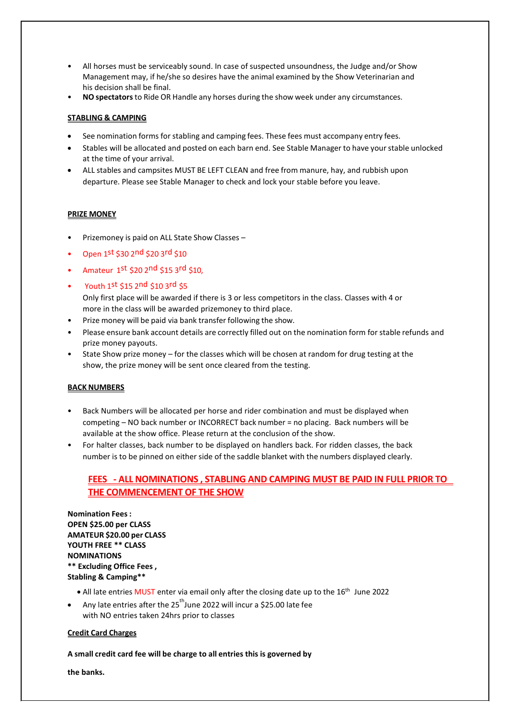- All horses must be serviceably sound. In case of suspected unsoundness, the Judge and/or Show Management may, if he/she so desires have the animal examined by the Show Veterinarian and his decision shall be final.
- **NO spectators**to Ride OR Handle any horses during the show week under any circumstances.

# **STABLING & CAMPING**

- See nomination forms for stabling and camping fees. These fees must accompany entry fees.
- Stables will be allocated and posted on each barn end. See Stable Manager to have yourstable unlocked at the time of your arrival.
- ALL stables and campsites MUST BE LEFT CLEAN and free from manure, hay, and rubbish upon departure. Please see Stable Manager to check and lock your stable before you leave.

# **PRIZE MONEY**

- Prizemoney is paid on ALL State Show Classes –
- Open 1st \$30 2nd \$20 3rd \$10
- Amateur 1st \$20 2nd \$15 3rd \$10,
- Youth 1st \$15 2nd \$10 3rd \$5
- Only first place will be awarded if there is 3 or less competitors in the class. Classes with 4 or more in the class will be awarded prizemoney to third place.
- Prize money will be paid via bank transfer following the show.
- Please ensure bank account details are correctly filled out on the nomination form forstable refunds and prize money payouts.
- State Show prize money for the classes which will be chosen at random for drug testing at the show, the prize money will be sent once cleared from the testing.

# **BACK NUMBERS**

- Back Numbers will be allocated per horse and rider combination and must be displayed when competing – NO back number or INCORRECT back number = no placing. Back numbers will be available at the show office. Please return at the conclusion of the show.
- For halter classes, back number to be displayed on handlers back. For ridden classes, the back number is to be pinned on either side of the saddle blanket with the numbers displayed clearly.

# **FEES - ALL NOMINATIONS , STABLING AND CAMPING MUST BE PAID IN FULL PRIOR TO THE COMMENCEMENT OF THE SHOW**

**Nomination Fees : OPEN \$25.00 per CLASS AMATEUR \$20.00 per CLASS YOUTH FREE \*\* CLASS NOMINATIONS \*\* Excluding Office Fees , Stabling & Camping\*\***

- All late entries MUST enter via email only after the closing date up to the 16<sup>th</sup> June 2022
- Any late entries after the  $25<sup>th</sup>$  June 2022 will incur a \$25.00 late fee with NO entries taken 24hrs prior to classes

#### **Credit Card Charges**

#### **A small credit card fee will be charge to all entries this is governed by**

**the banks.**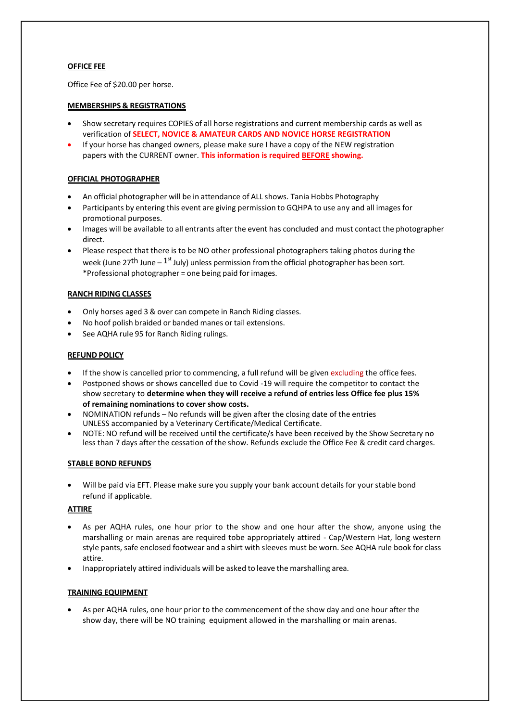# **OFFICE FEE**

Office Fee of \$20.00 per horse.

# **MEMBERSHIPS & REGISTRATIONS**

- Show secretary requires COPIES of all horse registrations and current membership cards as well as verification of **SELECT, NOVICE & AMATEUR CARDS AND NOVICE HORSE REGISTRATION**
- If your horse has changed owners, please make sure I have a copy of the NEW registration papers with the CURRENT owner. **This information is required BEFORE showing.**

## **OFFICIAL PHOTOGRAPHER**

- An official photographer will be in attendance of ALL shows. Tania Hobbs Photography
- Participants by entering this event are giving permission to GQHPA to use any and all images for promotional purposes.
- Images will be available to all entrants after the event has concluded and must contact the photographer direct.
- Please respect that there is to be NO other professional photographers taking photos during the week (June 27<sup>th</sup> June –  $1^{st}$  July) unless permission from the official photographer has been sort. \*Professional photographer = one being paid for images.

# **RANCH RIDING CLASSES**

- Only horses aged 3 & over can compete in Ranch Riding classes.
- No hoof polish braided or banded manes or tail extensions.
- See AQHA rule 95 for Ranch Riding rulings.

# **REFUND POLICY**

- If the show is cancelled prior to commencing, a full refund will be given excluding the office fees.
- Postponed shows or shows cancelled due to Covid -19 will require the competitor to contact the show secretary to **determine when they will receive a refund of entries less Office fee plus 15% of remaining nominations to cover show costs.**
- NOMINATION refunds No refunds will be given after the closing date of the entries UNLESS accompanied by a Veterinary Certificate/Medical Certificate.
- NOTE: NO refund will be received until the certificate/s have been received by the Show Secretary no less than 7 days after the cessation of the show. Refunds exclude the Office Fee & credit card charges.

# **STABLE BOND REFUNDS**

Will be paid via EFT. Please make sure you supply your bank account details for your stable bond refund if applicable.

#### **ATTIRE**

- As per AQHA rules, one hour prior to the show and one hour after the show, anyone using the marshalling or main arenas are required tobe appropriately attired - Cap/Western Hat, long western style pants, safe enclosed footwear and a shirt with sleeves must be worn. See AQHA rule book for class attire.
- Inappropriately attired individuals will be asked to leave the marshalling area.

#### **TRAINING EQUIPMENT**

As per AQHA rules, one hour prior to the commencement of the show day and one hour after the show day, there will be NO training equipment allowed in the marshalling or main arenas.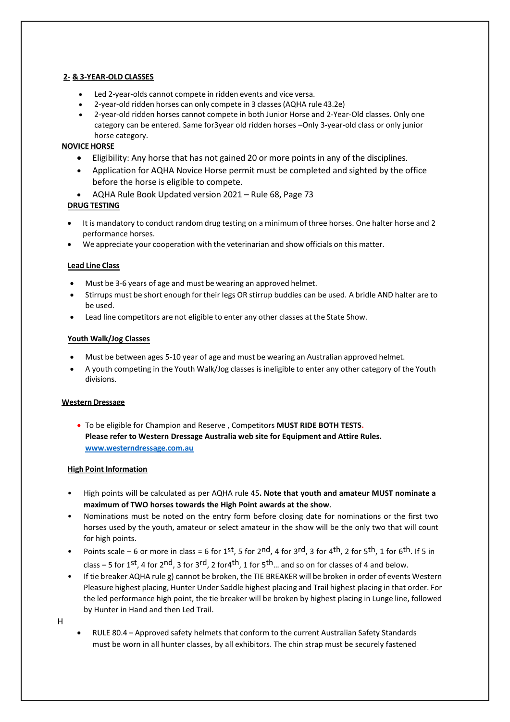# **2- & 3-YEAR-OLD CLASSES**

- Led 2-year-olds cannot compete in ridden events and vice versa.
- 2-year-old ridden horses can only compete in 3 classes(AQHA rule 43.2e)
- 2-year-old ridden horses cannot compete in both Junior Horse and 2-Year-Old classes. Only one category can be entered. Same for3year old ridden horses –Only 3-year-old class or only junior horse category.

# **NOVICE HORSE**

- Eligibility: Any horse that has not gained 20 or more points in any of the disciplines.
- Application for AQHA Novice Horse permit must be completed and sighted by the office before the horse is eligible to compete.
- AQHA Rule Book Updated version 2021 Rule 68, Page 73

# **DRUG TESTING**

- It is mandatory to conduct random drug testing on a minimum of three horses. One halter horse and 2 performance horses.
- We appreciate your cooperation with the veterinarian and show officials on this matter.

# **Lead Line Class**

- Must be 3-6 years of age and must be wearing an approved helmet.
- Stirrups must be short enough for their legs OR stirrup buddies can be used. A bridle AND halter are to be used.
- Lead line competitors are not eligible to enter any other classes at the State Show.

# **Youth Walk/Jog Classes**

- Must be between ages 5-10 year of age and must be wearing an Australian approved helmet.
- A youth competing in the Youth Walk/Jog classes is ineligible to enter any other category of the Youth divisions.

# **Western Dressage**

• To be eligible for Champion and Reserve , Competitors **MUST RIDE BOTH TESTS. Please refer to Western Dressage Australia web site for Equipment and Attire Rules. [www.westerndressage.com.au](http://www.westerndressage.com.au/)**

# **High Point Information**

- High points will be calculated as per AQHA rule 45**. Note that youth and amateur MUST nominate a maximum of TWO horses towards the High Point awards at the show**.
- Nominations must be noted on the entry form before closing date for nominations or the first two horses used by the youth, amateur or select amateur in the show will be the only two that will count for high points.
- Points scale 6 or more in class = 6 for 1st, 5 for 2nd, 4 for 3rd, 3 for 4<sup>th</sup>, 2 for 5<sup>th</sup>, 1 for 6<sup>th</sup>. If 5 in class – 5 for 1st, 4 for 2nd, 3 for 3rd, 2 for 4<sup>th</sup>, 1 for 5<sup>th</sup> ... and so on for classes of 4 and below.
- If tie breaker AQHA rule g) cannot be broken, the TIE BREAKER will be broken in order of events Western Pleasure highest placing, Hunter Under Saddle highest placing and Trail highest placing in that order. For the led performance high point, the tie breaker will be broken by highest placing in Lunge line, followed by Hunter in Hand and then Led Trail.
- H
- RULE 80.4 Approved safety helmets that conform to the current Australian Safety Standards must be worn in all hunter classes, by all exhibitors. The chin strap must be securely fastened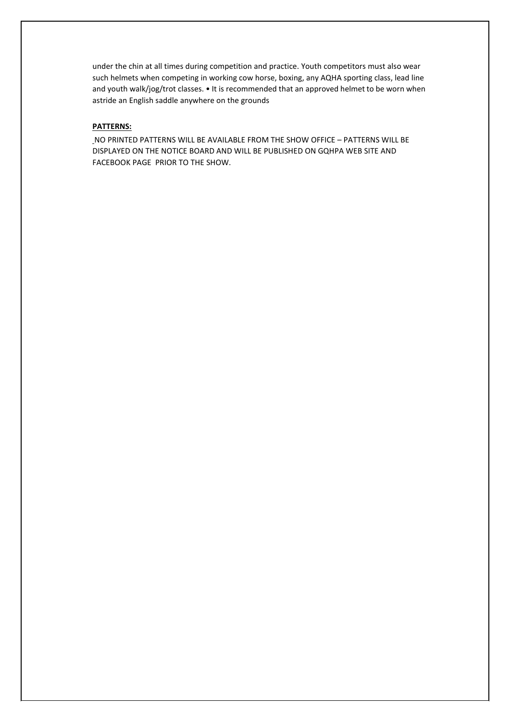under the chin at all times during competition and practice. Youth competitors must also wear such helmets when competing in working cow horse, boxing, any AQHA sporting class, lead line and youth walk/jog/trot classes. • It is recommended that an approved helmet to be worn when astride an English saddle anywhere on the grounds

# **PATTERNS:**

NO PRINTED PATTERNS WILL BE AVAILABLE FROM THE SHOW OFFICE – PATTERNS WILL BE DISPLAYED ON THE NOTICE BOARD AND WILL BE PUBLISHED ON GQHPA WEB SITE AND FACEBOOK PAGE PRIOR TO THE SHOW.